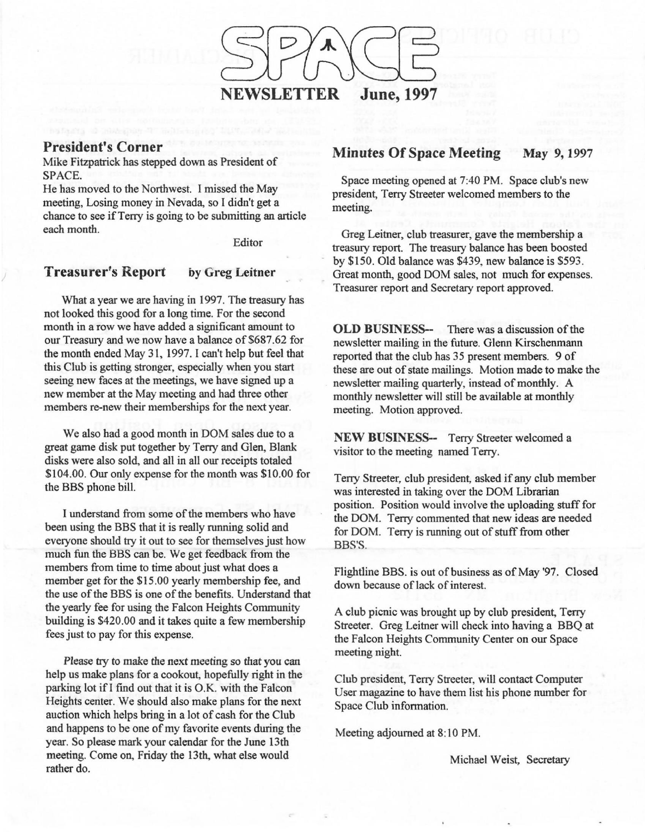

### **President's Corner**

Mike Fitzpatrick has stepped down as President of SPACE.

He has moved to the Northwest. I missed the May meeting, Losing money in Nevada, so I didn't get a chance to see if Terry is going to be submitting an article each month.

Editor

#### **Treasurer's Report** by Greg Leitner

What a year we are having in 1997. The treasury has not looked this good for a long time. For the second month in a row we have added a significant amount to our Treasury and we now have a balance of \$687 .62 for the month ended May 31, 1997. I can't help but feel that this Club is getting stronger, especially when you start seeing new faces at the meetings, we have signed up a new member at the May meeting and had three other members re-new their memberships for the next year.

We also had a good month in DOM sales due to a great game disk put together by Terry and Glen, Blank disks were also sold, and all in all our receipts totaled \$104.00. Our only expense for the month was \$10.00 for the BBS phone bill.

I understand from some of the members who have been using the BBS that it is really running solid and everyone should try it out to see for themselves just how much fun the BBS can be. We get feedback from the members from time to time about just what does a member get for the \$15.00 yearly membership fee, and the use of the BBS is one of the benefits. Understand that the yearly fee for using the Falcon Heights Community building is \$420.00 and it takes quite a few membership fees just to pay for this expense.

Please try to make the next meeting so that you can help us make plans for a cookout, hopefully right in the parking lot ifl find out that it is O.K. with the Falcon Heights center. We should also make plans for the next auction which helps bring in a lot of cash for the Club and happens to be one of my favorite events during the year. So please mark your calendar for the June 13th meeting. Come on, Friday the 13th, what else would rather do.

### **Minutes Of Space Meeting** May 9,1997

Space meeting opened at 7:40 PM. Space club's new president, Terry Streeter welcomed members to the meeting.

Greg Leitner, club treasurer, gave the membership a treasury report. The treasury balance has been boosted by \$150. Old balance was \$439, new balance is \$593. Great month, good DOM sales, not much for expenses. Treasurer report and Secretary report approved.

**OLD BUSINESS--** There was a discussion of the newsletter mailing in the future. Glenn Kirschenmann reported that the club has 35 present members. 9 of these are out of state mailings. Motion made to make the newsletter mailing quarterly, instead of monthly. A monthly newsletter will still be available at monthly meeting. Motion approved.

**NEW BUSINESS--** Terry Streeter welcomed a visitor to the meeting named Terry.

Terry Streeter, club president, asked if any club member was interested in taking over the DOM Librarian position. Position would involve the uploading stuff for the DOM. Terry commented that new ideas are needed for DOM. Terry is running out of stuff from other BBS'S.

Flightline BBS. is out of business as of May '97. Closed down because of lack of interest.

A club picnic was brought up by club president, Terry Streeter. Greg Leitner will check into having a BBQ at the Falcon Heights Community Center on our Space meeting night.

Club president, Terry Streeter, will contact Computer User magazine to have them list his phone number for Space Club information.

Meeting adjourned at 8: 10 PM.

Michael Weist, Secretary